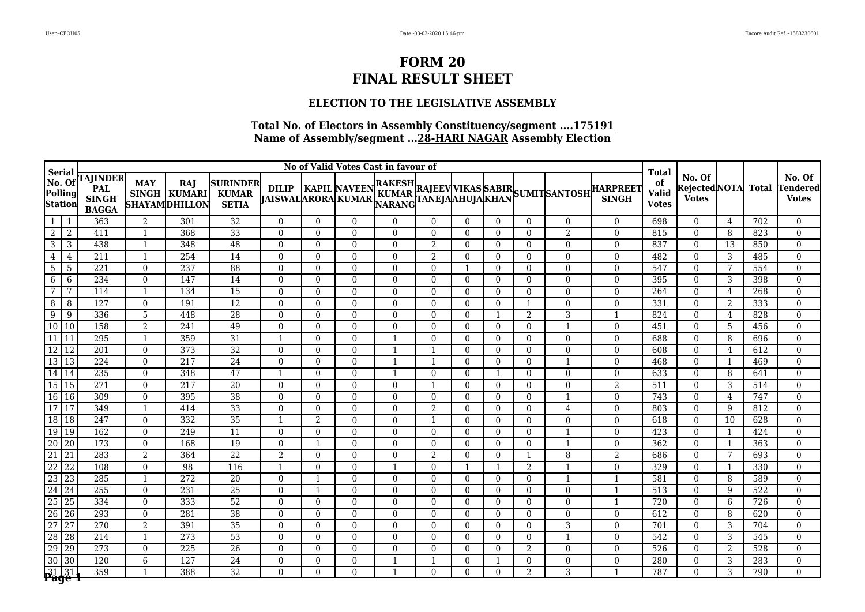## **ELECTION TO THE LEGISLATIVE ASSEMBLY**

|                                         | No of Valid Votes Cast in favour of<br>Serial |                                                        |                            |                                                      |                                                 |                                           |                                  |                      |                |               |                |                |                      |                                                                                                                    | <b>Total</b>                    |                                    |                                               |                  |              |                                    |
|-----------------------------------------|-----------------------------------------------|--------------------------------------------------------|----------------------------|------------------------------------------------------|-------------------------------------------------|-------------------------------------------|----------------------------------|----------------------|----------------|---------------|----------------|----------------|----------------------|--------------------------------------------------------------------------------------------------------------------|---------------------------------|------------------------------------|-----------------------------------------------|------------------|--------------|------------------------------------|
| $ $ No. Of<br>Polling<br><b>Station</b> |                                               | <b>TAJINDER</b><br>PAL<br><b>SINGH</b><br><b>BAGGA</b> | <b>MAY</b>                 | <b>RAJ</b><br>SINGH   KUMARI<br><b>SHAYAMDHILLON</b> | <b>SURINDER</b><br><b>KUMAR</b><br><b>SETIA</b> | <b>DILIP</b><br><b>JAISWALARORA KUMAR</b> |                                  |                      |                |               |                |                |                      | KAPIL NAVEEN <sup>RAKESH</sup> RAJEEV VIKAS SABIR<br> ARORA KUMAR <sub>NARANG</sub> TANEJAAHUJA KHAN SUMIT SANTOSH | <b>HARPREET</b><br><b>SINGH</b> | of<br><b>Valid</b><br><b>Votes</b> | No. Of<br><b>RejectedNOTA</b><br><b>Votes</b> |                  | <b>Total</b> | No. Of<br>Tendered<br><b>Votes</b> |
| 1                                       | -1                                            | 363                                                    | 2                          | 301                                                  | 32                                              | $\Omega$                                  | $\overline{0}$                   | $\theta$             | $\Omega$       | $\Omega$      | $\Omega$       | $\Omega$       | $\theta$             | $\overline{0}$                                                                                                     | $\Omega$                        | 698                                | $\overline{0}$                                | 4                | 702          | $\overline{0}$                     |
| $\overline{2}$                          | $\overline{2}$                                | 411                                                    | -1                         | 368                                                  | $\overline{33}$                                 | $\Omega$                                  | $\Omega$                         | $\Omega$             | $\Omega$       | $\Omega$      | $\Omega$       | $\Omega$       | $\theta$             | $\overline{2}$                                                                                                     | $\Omega$                        | 815                                | $\theta$                                      | 8                | 823          | $\theta$                           |
| $\overline{3}$                          | $\overline{3}$                                | 438                                                    | $\overline{1}$             | 348                                                  | 48                                              | $\Omega$                                  | $\Omega$                         | $\Omega$             | $\Omega$       | 2             | $\Omega$       | $\Omega$       | $\theta$             | $\overline{0}$                                                                                                     | $\Omega$                        | 837                                | $\overline{0}$                                | 13               | 850          | $\theta$                           |
| $\overline{4}$                          | $\overline{4}$                                | $\overline{211}$                                       | $\overline{1}$             | 254                                                  | $\overline{14}$                                 | $\mathbf{0}$                              | $\Omega$                         | $\Omega$             | $\overline{0}$ | 2             | $\overline{0}$ | $\Omega$       | $\mathbf{0}$         | $\boldsymbol{0}$                                                                                                   | $\Omega$                        | 482                                | $\overline{0}$                                | 3                | 485          | $\overline{0}$                     |
| $\overline{5}$                          | - 5                                           | 221                                                    | $\Omega$                   | 237                                                  | $\overline{88}$                                 | $\Omega$                                  | $\Omega$                         | $\Omega$             | $\Omega$       | $\Omega$      | $\mathbf{1}$   | $\Omega$       | $\theta$             | $\overline{0}$                                                                                                     | $\Omega$                        | 547                                | $\Omega$                                      | 7                | 554          | $\theta$                           |
| 6                                       | 6                                             | 234                                                    | $\Omega$                   | 147                                                  | 14                                              | $\Omega$                                  | $\Omega$                         | $\Omega$             | $\Omega$       | $\Omega$      | $\Omega$       | $\Omega$       | $\theta$             | $\overline{0}$                                                                                                     | $\Omega$                        | 395                                | $\overline{0}$                                | 3                | 398          | $\overline{0}$                     |
| $\overline{7}$                          | $\overline{7}$                                | 114                                                    | $\overline{1}$             | 134                                                  | $\overline{15}$                                 | $\Omega$                                  | $\overline{0}$                   | $\Omega$             | $\Omega$       | $\theta$      | $\Omega$       | $\Omega$       | $\theta$             | $\overline{0}$                                                                                                     | $\Omega$                        | 264                                | $\overline{0}$                                | 4                | 268          | $\boldsymbol{0}$                   |
| 8                                       | 8                                             | 127                                                    | $\theta$                   | 191                                                  | $\overline{12}$                                 | $\Omega$                                  | $\Omega$                         | $\Omega$             | $\Omega$       | $\Omega$      | $\theta$       | $\Omega$       |                      | $\overline{0}$                                                                                                     | $\Omega$                        | 331                                | $\Omega$                                      | 2                | 333          | $\theta$                           |
| 9                                       | $\overline{9}$                                | 336                                                    | 5                          | 448                                                  | 28                                              | $\Omega$                                  | $\Omega$                         | $\Omega$             | $\Omega$       | $\Omega$      | $\theta$       |                | $\overline{2}$       | 3                                                                                                                  | $\mathbf{1}$                    | 824                                | $\overline{0}$                                | 4                | 828          | $\overline{0}$                     |
| $\overline{10}$                         | $\overline{10}$                               | 158                                                    | $\overline{2}$             | 241                                                  | 49                                              | $\theta$                                  | $\Omega$                         | $\Omega$             | $\Omega$       | $\Omega$      | $\theta$       | $\Omega$       | $\theta$             | $\overline{1}$                                                                                                     | $\Omega$                        | 451                                | $\overline{0}$                                | .5               | 456          | $\theta$                           |
| $\boxed{11}$                            | $\overline{11}$                               | 295                                                    | $\overline{1}$             | 359                                                  | 31                                              |                                           | $\Omega$                         | $\Omega$             |                | $\Omega$      | $\theta$       | $\Omega$       | $\theta$             | $\Omega$                                                                                                           | $\Omega$                        | 688                                | $\overline{0}$                                | 8                | 696          | $\theta$                           |
| $\overline{12}$                         | $\overline{12}$                               | 201                                                    | $\Omega$                   | 373                                                  | 32                                              | $\theta$                                  | $\Omega$                         | $\Omega$             |                | -1            | $\theta$       | $\Omega$       | $\mathbf{0}$         | $\overline{0}$                                                                                                     | $\Omega$                        | 608                                | $\overline{0}$                                | 4                | 612          | $\overline{0}$                     |
| $\boxed{13}$ $\boxed{13}$               |                                               | 224                                                    | $\Omega$                   | 217                                                  | $\overline{24}$                                 | $\Omega$                                  | $\Omega$                         | $\Omega$             | -1             | $\mathbf{1}$  | $\theta$       | $\Omega$       | $\mathbf{0}$         | -1                                                                                                                 | $\Omega$                        | 468                                | $\Omega$                                      | -1               | 469          | $\overline{0}$                     |
| 14 14                                   |                                               | 235                                                    | $\Omega$                   | 348                                                  | 47                                              | $\mathbf 1$                               | $\Omega$                         | $\Omega$             | -1             | $\Omega$      | $\Omega$       | -1             | $\mathbf{0}$         | $\overline{0}$                                                                                                     | $\Omega$                        | 633                                | $\overline{0}$                                | 8                | 641          | $\boldsymbol{0}$                   |
| $\boxed{15}$ $\boxed{15}$               |                                               | 271                                                    | $\mathbf{0}$               | 217                                                  | 20                                              | $\overline{0}$                            | $\Omega$                         | $\Omega$             | $\overline{0}$ | -1            | $\overline{0}$ | $\overline{0}$ | $\mathbf{0}$         | $\overline{0}$                                                                                                     | $\overline{2}$                  | 511                                | $\overline{0}$                                | 3                | 514          | $\overline{0}$                     |
| $\overline{16}$                         | $\sqrt{16}$                                   | 309                                                    | $\Omega$                   | 395                                                  | $\overline{38}$                                 | $\theta$                                  | $\Omega$                         | $\Omega$             | $\Omega$       | $\Omega$      | $\Omega$       | $\Omega$       | $\theta$             | $\mathbf 1$                                                                                                        | $\Omega$                        | 743                                | $\overline{0}$                                | 4                | 747          | $\overline{0}$                     |
| $\overline{17}$                         | $\overline{17}$                               | 349                                                    | $\overline{1}$             | 414                                                  | 33                                              | $\Omega$                                  | $\Omega$                         | $\Omega$             | $\Omega$       | 2             | $\Omega$       | $\Omega$       | $\theta$             | $\overline{4}$                                                                                                     | $\Omega$                        | 803                                | $\overline{0}$                                | 9                | 812          | $\mathbf{0}$                       |
| 18 18<br>$\overline{19}$                |                                               | 247                                                    | $\theta$                   | 332                                                  | $\overline{35}$                                 | $\overline{1}$                            | $\overline{2}$                   | $\Omega$             | $\Omega$       | $\mathbf{1}$  | $\Omega$       | $\Omega$       | $\theta$             | $\overline{0}$                                                                                                     | $\Omega$                        | 618                                | $\overline{0}$                                | 10               | 628          | $\theta$                           |
| $\overline{20}$                         | $\sqrt{19}$                                   | 162                                                    | $\Omega$                   | 249                                                  | $\overline{11}$                                 | $\Omega$                                  | $\overline{0}$                   | $\Omega$             | $\Omega$       | $\theta$      | $\Omega$       | $\Omega$       | $\mathbf{0}$         | $\mathbf{1}$                                                                                                       | $\Omega$                        | 423                                | $\overline{0}$                                | $\mathbf{1}$     | 424          | $\mathbf{0}$                       |
| $\overline{21}$                         | 20                                            | 173                                                    | $\mathbf{0}$               | 168                                                  | 19                                              | $\mathbf{0}$                              | 1                                | $\overline{0}$       | $\overline{0}$ | $\Omega$      | $\theta$       | $\Omega$       | $\overline{0}$       | $\mathbf{1}$                                                                                                       | $\overline{0}$                  | 362                                | $\overline{0}$                                | $\mathbf 1$<br>7 | 363          | $\overline{0}$                     |
| $\overline{22}$                         | 21<br>$\overline{22}$                         | 283<br>108                                             | $\overline{2}$<br>$\Omega$ | 364<br>98                                            | $\overline{22}$<br>116                          | 2<br>$\mathbf{1}$                         | $\overline{0}$<br>$\overline{0}$ | $\Omega$<br>$\Omega$ | $\Omega$       | 2<br>$\theta$ | $\Omega$<br>-1 | $\Omega$<br>-1 | -1<br>$\overline{2}$ | 8<br>$\overline{1}$                                                                                                | 2<br>$\overline{0}$             | 686<br>329                         | $\overline{0}$<br>$\overline{0}$              | -1               | 693<br>330   | $\overline{0}$<br>$\boldsymbol{0}$ |
| $\overline{23}$                         | 23                                            | 285                                                    | $\overline{1}$             | $\overline{272}$                                     | 20                                              | $\theta$                                  | 1                                | $\Omega$             | $\theta$       | $\theta$      | $\theta$       | $\Omega$       | $\mathbf{0}$         | $\mathbf{1}$                                                                                                       |                                 | 581                                | $\overline{0}$                                | 8                | 589          | $\mathbf{0}$                       |
| $\overline{24}$                         | 24                                            | 255                                                    | $\Omega$                   | 231                                                  | $\overline{25}$                                 | $\Omega$                                  | 1                                | $\Omega$             | $\Omega$       | $\Omega$      | $\Omega$       | $\Omega$       | $\theta$             | $\overline{0}$                                                                                                     |                                 | 513                                | $\overline{0}$                                | 9                | 522          | $\overline{0}$                     |
| $\overline{25}$                         | $\overline{25}$                               | 334                                                    | $\Omega$                   | 333                                                  | $\overline{52}$                                 | $\Omega$                                  | $\Omega$                         | $\Omega$             | $\Omega$       | $\Omega$      | $\theta$       | $\Omega$       | $\theta$             | $\overline{0}$                                                                                                     |                                 | 720                                | $\overline{0}$                                | 6                | 726          | $\mathbf{0}$                       |
| $\overline{26}$                         | $\overline{26}$                               | 293                                                    | $\Omega$                   | 281                                                  | 38                                              | $\Omega$                                  | $\Omega$                         | $\Omega$             | $\Omega$       | $\Omega$      | $\Omega$       | $\Omega$       | $\theta$             | $\overline{0}$                                                                                                     | $\Omega$                        | 612                                | $\overline{0}$                                | 8                | 620          | $\theta$                           |
| $\frac{1}{27}$                          | 27                                            | 270                                                    | 2                          | 391                                                  | $\overline{35}$                                 | $\Omega$                                  | $\Omega$                         | $\Omega$             | $\Omega$       | $\Omega$      | $\Omega$       | $\Omega$       | $\theta$             | 3                                                                                                                  | $\Omega$                        | 701                                | $\overline{0}$                                | 3                | 704          | $\mathbf{0}$                       |
| $\overline{28}$                         | $\overline{28}$                               | 214                                                    | $\overline{1}$             | 273                                                  | $\overline{53}$                                 | $\Omega$                                  | $\Omega$                         | $\Omega$             | $\Omega$       | $\Omega$      | $\Omega$       | $\Omega$       | $\theta$             | $\mathbf{1}$                                                                                                       | $\Omega$                        | 542                                | $\overline{0}$                                | 3                | 545          | $\mathbf{0}$                       |
| $\overline{29}$                         | 29                                            | 273                                                    | $\Omega$                   | 225                                                  | $\overline{26}$                                 | $\Omega$                                  | $\Omega$                         | $\Omega$             | $\Omega$       | $\Omega$      | $\Omega$       | $\Omega$       | $\overline{2}$       | $\overline{0}$                                                                                                     | $\Omega$                        | 526                                | $\Omega$                                      | 2                | 528          | $\boldsymbol{0}$                   |
| $\overline{30}$                         | $\sqrt{30}$                                   | 120                                                    | 6                          | 127                                                  | $\overline{24}$                                 | $\theta$                                  | $\overline{0}$                   | $\theta$             |                |               | $\Omega$       |                | $\theta$             | $\boldsymbol{0}$                                                                                                   | $\Omega$                        | 280                                | $\overline{0}$                                | 3                | 283          | $\boldsymbol{0}$                   |
|                                         |                                               | 359                                                    | $\mathbf{1}$               | 388                                                  | $\overline{32}$                                 | $\Omega$                                  | $\Omega$                         | $\Omega$             |                | $\Omega$      | $\Omega$       | $\Omega$       | $\mathfrak{D}$       | 3                                                                                                                  | $\mathbf{1}$                    | 787                                | $\Omega$                                      | 3                | 790          | $\overline{0}$                     |
|                                         | 31 31                                         |                                                        |                            |                                                      |                                                 |                                           |                                  |                      |                |               |                |                |                      |                                                                                                                    |                                 |                                    |                                               |                  |              |                                    |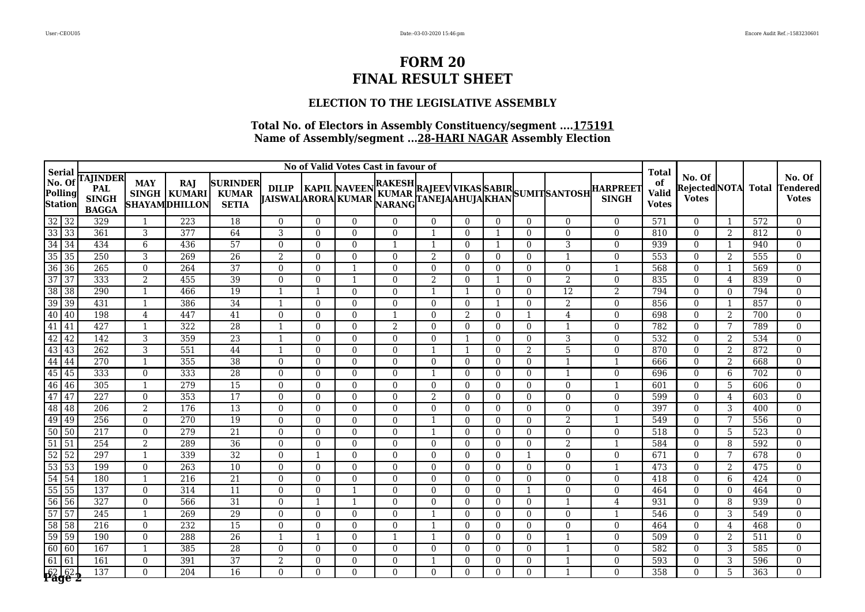## **ELECTION TO THE LEGISLATIVE ASSEMBLY**

|                                         | No of Valid Votes Cast in favour of<br>Serial |                                                        |                                  |                                                    |                                                 |                                           |                      |                            |                            |                      |                            |                      |                          |                                    | <b>Total</b>                                                                                       |                                    |                                               |              |              |                                    |
|-----------------------------------------|-----------------------------------------------|--------------------------------------------------------|----------------------------------|----------------------------------------------------|-------------------------------------------------|-------------------------------------------|----------------------|----------------------------|----------------------------|----------------------|----------------------------|----------------------|--------------------------|------------------------------------|----------------------------------------------------------------------------------------------------|------------------------------------|-----------------------------------------------|--------------|--------------|------------------------------------|
| $ $ No. Of<br>Polling<br><b>Station</b> |                                               | <b>TAJINDER</b><br>PAL<br><b>SINGH</b><br><b>BAGGA</b> | <b>MAY</b>                       | <b>RAJ</b><br>SINGH KUMARI<br><b>SHAYAMDHILLON</b> | <b>SURINDER</b><br><b>KUMAR</b><br><b>SETIA</b> | <b>DILIP</b><br><b>JAISWALARORA KUMAR</b> |                      |                            |                            |                      |                            |                      |                          |                                    | KAPIL NAVEEN RAKESH RAJEEV VIKAS SABIR<br> ARORA KUMAR NARANG TANEJAAHUJA KHAN SUMIT SANTOSH SINGH | of<br><b>Valid</b><br><b>Votes</b> | No. Of<br><b>RejectedNOTA</b><br><b>Votes</b> |              | <b>Total</b> | No. Of<br>Tendered<br><b>Votes</b> |
| $\frac{32}{33}$                         | 32                                            | 329                                                    |                                  | 223                                                | 18                                              | $\Omega$                                  | $\overline{0}$       | $\theta$                   | $\Omega$                   | $\Omega$             | $\Omega$                   | $\Omega$             | $\theta$                 | $\overline{0}$                     | $\Omega$                                                                                           | 571                                | $\overline{0}$                                | -1           | 572          | $\overline{0}$                     |
|                                         | $\overline{33}$                               | 361                                                    | 3                                | 377                                                | 64                                              | 3                                         | $\Omega$             | $\Omega$                   | $\Omega$                   | -1                   | $\Omega$                   | -1                   | $\theta$                 | $\Omega$                           | $\Omega$                                                                                           | 810                                | $\theta$                                      | 2            | 812          | $\theta$                           |
| $\overline{34}$                         | 34                                            | 434                                                    | 6                                | 436                                                | 57                                              | $\Omega$                                  | $\Omega$             | $\Omega$                   | -1                         | $\mathbf{1}$         | $\Omega$                   |                      | $\theta$                 | 3                                  | $\Omega$                                                                                           | 939                                | $\overline{0}$                                | -1           | 940          | $\mathbf{0}$                       |
| $\overline{35}$                         | 35                                            | 250                                                    | 3                                | 269                                                | $\overline{26}$                                 | 2                                         | $\Omega$             | $\Omega$                   | $\overline{0}$             | 2                    | $\overline{0}$             | $\Omega$             | $\overline{0}$           | 1                                  | $\overline{0}$                                                                                     | 553                                | $\overline{0}$                                | 2            | 555          | $\overline{0}$                     |
| $\overline{36}$                         | $\overline{36}$                               | 265                                                    | $\theta$                         | 264                                                | 37                                              | $\theta$                                  | $\Omega$             |                            | $\Omega$                   | $\Omega$             | $\Omega$                   | $\Omega$             | $\theta$                 | $\overline{0}$                     | $\mathbf{1}$                                                                                       | 568                                | $\Omega$                                      | -1           | 569          | $\theta$                           |
| $\overline{37}$                         | $\overline{37}$                               | 333                                                    | $\overline{2}$                   | 455                                                | 39                                              | $\Omega$                                  | $\Omega$             | $\mathbf 1$                | $\Omega$                   | 2                    | $\Omega$                   |                      | $\theta$                 | $\overline{2}$                     | $\Omega$                                                                                           | 835                                | $\overline{0}$                                | 4            | 839          | $\overline{0}$                     |
| $\overline{38}$                         | 38                                            | 290                                                    | $\mathbf 1$                      | 466                                                | $\overline{19}$                                 |                                           | $\mathbf{1}$         | $\Omega$                   | $\Omega$                   | $\mathbf{1}$         | $\mathbf{1}$               | $\Omega$             | $\theta$                 | 12                                 | 2                                                                                                  | 794                                | $\overline{0}$                                | $\Omega$     | 794          | $\overline{0}$                     |
| $\overline{39}$                         | $\overline{39}$                               | 431                                                    | -1                               | 386                                                | $\overline{34}$                                 | -1                                        | $\Omega$             | $\Omega$                   | $\Omega$                   | $\Omega$             | $\Omega$                   |                      | $\theta$                 | $\overline{2}$                     | $\Omega$                                                                                           | 856                                | $\overline{0}$                                | $\mathbf{1}$ | 857          | $\Omega$                           |
| 40                                      | $\sqrt{40}$                                   | 198                                                    | $\overline{4}$                   | 447                                                | 41                                              | $\Omega$                                  | $\Omega$             | $\Omega$                   |                            | $\Omega$             | $\overline{2}$             | $\Omega$             | -1                       | $\overline{4}$                     | $\Omega$                                                                                           | 698                                | $\overline{0}$                                | 2            | 700          | $\overline{0}$                     |
| $\overline{41}$                         | 41                                            | 427                                                    | -1                               | 322                                                | 28                                              | $\mathbf{1}$                              | $\Omega$             | $\Omega$                   | $\overline{2}$             | $\Omega$             | $\theta$                   | $\Omega$             | $\theta$                 | -1                                 | $\Omega$                                                                                           | 782                                | $\overline{0}$                                |              | 789          | $\theta$                           |
| $\overline{42}$                         | 42                                            | 142                                                    | 3                                | 359                                                | 23                                              |                                           | $\Omega$             | $\Omega$                   | $\Omega$                   | $\theta$             | -1                         | $\Omega$             | $\theta$                 | 3                                  | $\Omega$                                                                                           | 532                                | $\overline{0}$                                | 2            | 534          | $\overline{0}$                     |
| $\overline{43}$                         | 43                                            | 262                                                    | 3                                | 551                                                | 44                                              | -1                                        | $\Omega$             | $\Omega$                   | $\Omega$                   | -1                   | -1                         | $\Omega$             | $\overline{2}$           | 5                                  | $\Omega$                                                                                           | 870                                | $\overline{0}$                                | 2            | 872          | $\overline{0}$                     |
| $\overline{44}$                         | $\sqrt{44}$                                   | 270                                                    | -1                               | 355                                                | $\overline{38}$                                 | $\theta$                                  | $\Omega$             | $\Omega$                   | $\Omega$                   | $\Omega$             | $\Omega$                   | $\Omega$             | $\mathbf{0}$             | -1                                 | $\mathbf{1}$                                                                                       | 666                                | $\overline{0}$                                | 2            | 668          | $\overline{0}$                     |
| 45<br>$\overline{46}$                   | 45                                            | 333                                                    | $\theta$                         | 333                                                | 28                                              | $\Omega$                                  | $\Omega$             | $\Omega$                   | $\theta$                   | $\mathbf{1}$         | $\theta$                   | $\Omega$             | $\mathbf{0}$             | -1                                 | $\Omega$                                                                                           | 696                                | $\overline{0}$                                | 6            | 702          | $\boldsymbol{0}$                   |
| $\frac{18}{47}$                         | 46                                            | 305                                                    | $\overline{1}$                   | 279                                                | 15                                              | $\mathbf{0}$                              | $\Omega$             | $\Omega$                   | $\overline{0}$             | $\Omega$             | $\overline{0}$             | $\overline{0}$       | $\overline{0}$           | $\overline{0}$                     | $\mathbf{1}$                                                                                       | 601                                | $\overline{0}$                                | 5            | 606          | $\mathbf{0}$                       |
| 48                                      | 47                                            | 227                                                    | $\theta$                         | 353                                                | $\overline{17}$                                 | $\theta$                                  | $\Omega$             | $\Omega$                   | $\theta$                   | 2                    | $\Omega$                   | $\Omega$             | $\theta$                 | $\overline{0}$                     | $\Omega$                                                                                           | 599                                | $\overline{0}$                                | 4            | 603          | $\mathbf{0}$                       |
| $\overline{49}$                         | 48                                            | 206                                                    | $\overline{2}$                   | 176                                                | 13                                              | $\Omega$                                  | $\Omega$             | $\Omega$                   | $\Omega$                   | $\theta$             | $\Omega$                   | $\Omega$             | $\theta$                 | $\overline{0}$                     | $\Omega$<br>$\mathbf{1}$                                                                           | 397                                | $\overline{0}$                                | 3            | 400          | $\mathbf{0}$                       |
| $\overline{50}$                         | $\sqrt{49}$<br>$\overline{50}$                | 256<br>217                                             | $\Omega$<br>$\Omega$             | 270<br>279                                         | $\overline{19}$                                 | $\Omega$<br>$\Omega$                      | $\Omega$<br>$\Omega$ | $\Omega$<br>$\Omega$       | $\Omega$<br>$\theta$       | -1<br>$\mathbf{1}$   | $\Omega$<br>$\Omega$       | $\Omega$<br>$\Omega$ | $\theta$                 | 2                                  | $\Omega$                                                                                           | 549<br>518                         | $\Omega$<br>$\overline{0}$                    | 7            | 556          | $\theta$<br>$\mathbf{0}$           |
| $\overline{51}$                         | $\overline{51}$                               | 254                                                    |                                  | 289                                                | 21<br>36                                        |                                           |                      |                            |                            |                      |                            |                      | $\mathbf{0}$             | $\boldsymbol{0}$<br>$\overline{2}$ |                                                                                                    | 584                                |                                               | 5            | 523          | $\mathbf{0}$                       |
| $\frac{1}{52}$                          | 52                                            | 297                                                    | $\overline{2}$<br>$\overline{1}$ | 339                                                | $\overline{32}$                                 | $\mathbf{0}$<br>$\Omega$                  | $\overline{0}$<br>-1 | $\overline{0}$<br>$\Omega$ | $\overline{0}$<br>$\Omega$ | $\theta$<br>$\theta$ | $\overline{0}$<br>$\theta$ | $\Omega$<br>$\theta$ | $\overline{0}$<br>-1     | $\overline{0}$                     | $\overline{0}$                                                                                     | 671                                | $\overline{0}$<br>$\overline{0}$              | 8<br>7       | 592<br>678   | $\overline{0}$                     |
| $\overline{53}$                         | $\overline{53}$                               | 199                                                    | $\Omega$                         | 263                                                | $\overline{10}$                                 | $\mathbf{0}$                              | $\overline{0}$       | $\Omega$                   | $\Omega$                   | $\theta$             | $\theta$                   | $\Omega$             | $\mathbf{0}$             | $\overline{0}$                     |                                                                                                    | 473                                | $\overline{0}$                                | 2            | 475          | $\overline{0}$                     |
| $\overline{54}$                         | 54                                            | 180                                                    | - 1                              | $\overline{216}$                                   | 21                                              | $\theta$                                  | $\overline{0}$       | $\Omega$                   | $\Omega$                   | $\theta$             | $\theta$                   | $\Omega$             | $\mathbf{0}$             | $\overline{0}$                     | $\overline{0}$                                                                                     | 418                                | $\overline{0}$                                | 6            | 424          | $\overline{0}$                     |
| 55                                      | 55                                            | 137                                                    | $\Omega$                         | 314                                                | $\overline{11}$                                 | $\Omega$                                  | $\Omega$             | -1                         | $\Omega$                   | $\Omega$             | $\Omega$                   | $\Omega$             | $\overline{\phantom{0}}$ | $\overline{0}$                     | $\Omega$                                                                                           | 464                                | $\overline{0}$                                | $\Omega$     | 464          | $\overline{0}$                     |
| 56                                      | 56                                            | 327                                                    | $\Omega$                         | 566                                                | $\overline{31}$                                 | $\Omega$                                  | 1                    | -1                         | $\Omega$                   | $\Omega$             | $\Omega$                   | $\Omega$             | $\theta$                 | 1                                  | 4                                                                                                  | 931                                | $\overline{0}$                                | 8            | 939          | $\overline{0}$                     |
| $\overline{57}$                         | $\overline{57}$                               | $\overline{245}$                                       | $\overline{1}$                   | 269                                                | 29                                              | $\theta$                                  | $\Omega$             | $\Omega$                   | $\Omega$                   | -1                   | $\Omega$                   | $\Omega$             | $\theta$                 | $\overline{0}$                     | -1                                                                                                 | 546                                | $\overline{0}$                                | 3            | 549          | $\theta$                           |
| 58                                      | 58                                            | 216                                                    | $\Omega$                         | 232                                                | $\overline{15}$                                 | $\Omega$                                  | $\Omega$             | $\Omega$                   | $\Omega$                   | -1                   | $\Omega$                   | $\Omega$             | $\theta$                 | $\overline{0}$                     | $\Omega$                                                                                           | 464                                | $\overline{0}$                                | 4            | 468          | $\mathbf{0}$                       |
| $\overline{59}$                         | 59                                            | 190                                                    | $\Omega$                         | 288                                                | $\overline{26}$                                 |                                           | $\mathbf{1}$         | $\Omega$                   |                            | -1                   | $\Omega$                   | $\Omega$             | $\theta$                 | $\mathbf{1}$                       | $\Omega$                                                                                           | 509                                | $\overline{0}$                                | 2            | 511          | $\mathbf{0}$                       |
| $\overline{60}$                         | 60                                            | 167                                                    |                                  | 385                                                | 28                                              | $\Omega$                                  | $\Omega$             | $\Omega$                   | $\Omega$                   | $\Omega$             | $\Omega$                   | $\Omega$             | $\theta$                 | -1                                 | $\Omega$                                                                                           | 582                                | $\Omega$                                      | 3            | 585          | $\mathbf{0}$                       |
| $\overline{61}$                         | $\sqrt{61}$                                   | 161                                                    | $\Omega$                         | 391                                                | $\overline{37}$                                 | 2                                         | $\overline{0}$       | $\Omega$                   | $\Omega$                   |                      | $\Omega$                   | $\Omega$             | $\theta$                 | -1                                 | $\Omega$                                                                                           | 593                                | $\overline{0}$                                | 3            | 596          | $\boldsymbol{0}$                   |
|                                         | $62\overline{62}$<br>Page 2                   | 137                                                    | $\Omega$                         | 204                                                | 16                                              | $\Omega$                                  | $\Omega$             | $\Omega$                   | $\Omega$                   | $\Omega$             | $\Omega$                   | $\Omega$             | $\Omega$                 | $\overline{\phantom{a}}$           | 0                                                                                                  | 358                                | $\Omega$                                      | 5            | 363          | $\overline{0}$                     |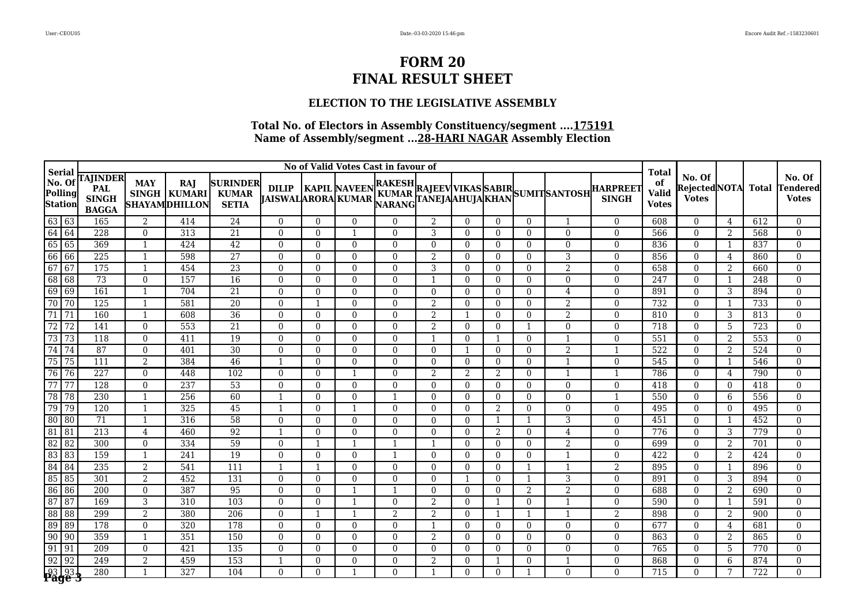## **ELECTION TO THE LEGISLATIVE ASSEMBLY**

| Serial                                      | No of Valid Votes Cast in favour of |                                                               |                                  |                                              |                                                 |                         |                      |                      |                      |                      |                      |                      |                          |                   | <b>Total</b>                                                                                                                           |                                    |                                               |                     |            |                                    |
|---------------------------------------------|-------------------------------------|---------------------------------------------------------------|----------------------------------|----------------------------------------------|-------------------------------------------------|-------------------------|----------------------|----------------------|----------------------|----------------------|----------------------|----------------------|--------------------------|-------------------|----------------------------------------------------------------------------------------------------------------------------------------|------------------------------------|-----------------------------------------------|---------------------|------------|------------------------------------|
| $\vert$ No. Of<br>Polling<br><b>Station</b> |                                     | <b>TAJINDER</b><br><b>PAL</b><br><b>SINGH</b><br><b>BAGGA</b> | <b>MAY</b><br><b>SINGH</b>       | <b>RAJ</b><br>KUMARI<br><b>SHAYAMDHILLON</b> | <b>SURINDER</b><br><b>KUMAR</b><br><b>SETIA</b> |                         |                      |                      |                      |                      |                      |                      |                          |                   | DILIP    KAPIL NAVEEN RAKESH RAJEEV VIKAS SABIR   <br>  JAISWAL ARORA KUMAR    NARANG TANEJAAHUJA KHAN SUMIT SANTOSH    SINGH    SINGH | of<br><b>Valid</b><br><b>Votes</b> | No. Of<br>Rejected NOTA Total<br><b>Votes</b> |                     |            | No. Of<br>Tendered<br><b>Votes</b> |
| $63 63$                                     |                                     | 165                                                           | 2                                | 414                                          | 24                                              | $\theta$                | $\Omega$             | $\Omega$             | $\Omega$             | 2                    | $\theta$             | $\Omega$             | $\theta$                 | 1                 | $\Omega$                                                                                                                               | 608                                | $\theta$                                      | 4                   | 612        | $\overline{0}$                     |
| 64<br>64                                    |                                     | 228                                                           | $\overline{0}$                   | $\overline{313}$                             | 21                                              | $\Omega$                | $\Omega$             | -1                   | $\theta$             | 3                    | $\theta$             | $\Omega$             | $\theta$                 | $\overline{0}$    | $\Omega$                                                                                                                               | 566                                | $\overline{0}$                                | 2                   | 568        | $\overline{0}$                     |
| 65<br>65                                    |                                     | 369                                                           | $\overline{1}$                   | 424                                          | 42                                              | $\mathbf{0}$            | $\Omega$             | $\Omega$             | $\overline{0}$       | $\theta$             | $\overline{0}$       | $\Omega$             | $\overline{0}$           | $\boldsymbol{0}$  | $\overline{0}$                                                                                                                         | 836                                | $\overline{0}$                                | -1                  | 837        | $\overline{0}$                     |
| 66<br>66                                    |                                     | 225                                                           | -1                               | 598                                          | 27                                              | $\theta$                | $\Omega$             | $\Omega$             | $\Omega$             | 2                    | $\Omega$             | $\Omega$             | $\theta$                 | 3                 | $\Omega$                                                                                                                               | 856                                | $\overline{0}$                                | 4                   | 860        | $\overline{0}$                     |
| $\overline{67}$<br>67                       |                                     | 175                                                           | $\overline{1}$                   | 454                                          | 23                                              | $\Omega$                | $\Omega$             | $\Omega$             | $\Omega$             | 3                    | $\Omega$             | $\Omega$             | $\theta$                 | 2                 | $\Omega$                                                                                                                               | 658                                | $\overline{0}$                                | 2                   | 660        | $\mathbf{0}$                       |
| 68<br>68                                    |                                     | 73                                                            | $\Omega$                         | 157                                          | 16                                              | $\Omega$                | $\Omega$             | $\Omega$             | $\Omega$             | $\mathbf{1}$         | $\Omega$             | $\Omega$             | $\theta$                 | $\overline{0}$    | $\Omega$                                                                                                                               | 247                                | $\overline{0}$                                | $\mathbf 1$         | 248        | $\mathbf{0}$                       |
| 69<br>69                                    |                                     | 161                                                           | $\overline{1}$                   | 704                                          | $\overline{21}$                                 | $\Omega$                | $\Omega$             | $\Omega$             | $\Omega$             | $\theta$             | $\Omega$             | $\Omega$             | $\theta$                 | $\overline{4}$    | $\Omega$                                                                                                                               | 891                                | $\Omega$                                      | 3                   | 894        | $\theta$                           |
| 70                                          | $\overline{70}$                     | 125                                                           | $\overline{1}$                   | 581                                          | $\overline{20}$                                 | $\Omega$                | $\mathbf{1}$         | $\Omega$             | $\Omega$             | 2                    | $\Omega$             | $\Omega$             | $\theta$                 | 2                 | $\Omega$                                                                                                                               | 732                                | $\overline{0}$                                |                     | 733        | $\mathbf{0}$                       |
| $\overline{71}$<br>71                       |                                     | 160                                                           | $\overline{1}$                   | 608                                          | 36                                              | $\Omega$                | $\Omega$             | $\Omega$             | $\overline{0}$       | $\overline{2}$       | $\mathbf{1}$         | $\Omega$             | $\mathbf{0}$             | $\overline{2}$    | $\Omega$                                                                                                                               | 810                                | $\overline{0}$                                | 3                   | 813        | $\boldsymbol{0}$                   |
| $\overline{72}$                             | 72                                  | 141                                                           | $\overline{0}$                   | 553                                          | 21                                              | 0                       | $\overline{0}$       | $\overline{0}$       | $\overline{0}$       | $\overline{2}$       | $\overline{0}$       | $\Omega$             | -1                       | $\boldsymbol{0}$  | $\overline{0}$                                                                                                                         | 718                                | $\boldsymbol{0}$                              | 5                   | 723        | $\boldsymbol{0}$                   |
| $\overline{73}$                             | 73                                  | 118                                                           | $\Omega$                         | 411                                          | 19                                              | $\Omega$                | $\Omega$             | $\Omega$             | $\Omega$             | -1                   | $\Omega$             | -1                   | $\theta$                 | $\overline{1}$    | $\Omega$                                                                                                                               | 551                                | $\Omega$                                      | 2                   | 553        | $\theta$                           |
| $\sqrt{74}$<br>74                           |                                     | 87                                                            | $\Omega$                         | 401                                          | 30                                              | $\theta$                | $\Omega$             | $\Omega$             | $\Omega$             | $\theta$             | -1                   | $\Omega$             | $\theta$                 | $\overline{2}$    | $\mathbf 1$                                                                                                                            | 522                                | $\overline{0}$                                | 2                   | 524        | $\mathbf{0}$                       |
| $\overline{75}$<br>75                       |                                     | 111                                                           | $\overline{2}$                   | 384                                          | 46                                              |                         | $\Omega$             | $\Omega$             | $\Omega$             | $\theta$             | $\overline{0}$       | $\Omega$             | $\mathbf{0}$             | -1                | $\Omega$                                                                                                                               | 545                                | $\overline{0}$                                | -1                  | 546        | $\boldsymbol{0}$                   |
| 76<br>$\sqrt{76}$                           |                                     | 227                                                           | $\theta$                         | 448                                          | 102                                             | $\Omega$                | $\Omega$             | $\overline{1}$       | $\theta$             | 2                    | 2                    | 2                    | $\theta$                 | 1                 | $\mathbf{1}$                                                                                                                           | 786                                | $\overline{0}$                                | 4                   | 790        | $\theta$                           |
| $\overline{77}$                             | 77                                  | 128                                                           | $\theta$                         | 237                                          | 53                                              | $\Omega$                | $\Omega$             | $\Omega$             | $\Omega$             | $\Omega$             | $\theta$             | $\Omega$             | $\mathbf{0}$             | $\overline{0}$    | $\Omega$                                                                                                                               | 418                                | $\overline{0}$                                | $\Omega$            | 418        | $\overline{0}$                     |
| 78                                          | 78                                  | 230                                                           | $\overline{1}$                   | 256                                          | 60                                              |                         | $\Omega$             | $\Omega$             |                      | $\theta$             | $\overline{0}$       | $\overline{0}$       | $\mathbf{0}$             | $\overline{0}$    | $\mathbf{1}$                                                                                                                           | 550                                | $\overline{0}$                                | 6                   | 556        | $\boldsymbol{0}$                   |
| 79<br>79<br>$\overline{80}$                 |                                     | 120                                                           | -1                               | 325                                          | $\overline{45}$                                 | $\overline{\mathbf{1}}$ | $\Omega$             | -1                   | $\overline{0}$       | $\Omega$             | $\overline{0}$       | 2                    | $\mathbf{0}$             | $\overline{0}$    | $\overline{0}$                                                                                                                         | 495                                | $\overline{0}$                                | $\overline{0}$      | 495        | $\mathbf{0}$                       |
| 80<br>$\overline{81}$<br>$\overline{81}$    |                                     | 71<br>$\overline{213}$                                        | $\overline{1}$                   | 316<br>460                                   | 58                                              | $\theta$                | $\Omega$<br>$\Omega$ | $\Omega$<br>$\Omega$ | $\Omega$<br>$\Omega$ | $\Omega$<br>$\theta$ | $\Omega$<br>$\Omega$ | -1<br>$\overline{2}$ | -1<br>$\theta$           | 3                 | $\Omega$<br>$\Omega$                                                                                                                   | 451<br>776                         | $\overline{0}$<br>$\overline{0}$              | -1                  | 452<br>779 | $\theta$<br>$\mathbf{0}$           |
| $\overline{82}$<br>82                       |                                     | $\overline{300}$                                              | $\overline{4}$<br>$\overline{0}$ | 334                                          | 92<br>59                                        | $\Omega$                | $\mathbf 1$          |                      |                      |                      | $\Omega$             | $\Omega$             |                          | 4                 | $\Omega$                                                                                                                               | 699                                | $\overline{0}$                                | 3                   | 701        | $\boldsymbol{0}$                   |
| $\overline{83}$<br>83                       |                                     | 159                                                           | $\overline{1}$                   | 241                                          | 19                                              | $\Omega$                | $\Omega$             | $\Omega$             |                      | $\theta$             | $\theta$             | $\Omega$             | $\mathbf{0}$<br>$\theta$ | 2<br>$\mathbf{1}$ | $\Omega$                                                                                                                               | 422                                | $\Omega$                                      | $\overline{2}$<br>2 | 424        | $\theta$                           |
| $\overline{84}$<br>$\sqrt{84}$              |                                     | 235                                                           | $\overline{2}$                   | 541                                          | 111                                             | $\mathbf{1}$            | $\mathbf{1}$         | $\Omega$             | $\Omega$             | $\Omega$             | $\Omega$             | $\Omega$             |                          | $\mathbf{1}$      | 2                                                                                                                                      | 895                                | $\overline{0}$                                | $\mathbf{1}$        | 896        | $\mathbf{0}$                       |
| 85<br>85                                    |                                     | 301                                                           | $\overline{2}$                   | 452                                          | 131                                             | $\overline{0}$          | $\overline{0}$       | $\overline{0}$       | $\Omega$             | $\theta$             | -1                   | $\Omega$             | -1                       | 3                 | $\overline{0}$                                                                                                                         | 891                                | $\overline{0}$                                | 3                   | 894        | $\boldsymbol{0}$                   |
| 86<br>86                                    |                                     | 200                                                           | $\mathbf{0}$                     | 387                                          | 95                                              | $\overline{0}$          | $\overline{0}$       |                      |                      | $\Omega$             | $\overline{0}$       | $\Omega$             | 2                        | 2                 | $\overline{0}$                                                                                                                         | 688                                | $\overline{0}$                                | 2                   | 690        | $\overline{0}$                     |
| $\overline{87}$<br>$\overline{87}$          |                                     | 169                                                           | 3                                | 310                                          | 103                                             | $\Omega$                | $\Omega$             | -1                   | $\Omega$             | 2                    | $\Omega$             | -1                   | $\theta$                 | 1                 | $\Omega$                                                                                                                               | 590                                | $\theta$                                      | 1                   | 591        | $\overline{0}$                     |
| 88<br>88                                    |                                     | 299                                                           | $\overline{2}$                   | 380                                          | 206                                             | $\Omega$                | 1                    | -1                   | $\overline{2}$       | $\overline{2}$       | $\Omega$             | -1                   | -1                       | 1                 | $\overline{2}$                                                                                                                         | 898                                | $\overline{0}$                                | 2                   | 900        | $\mathbf{0}$                       |
| 89<br>89                                    |                                     | 178                                                           | $\overline{0}$                   | 320                                          | 178                                             | $\Omega$                | $\Omega$             | $\Omega$             | $\Omega$             | $\mathbf{1}$         | $\Omega$             | $\Omega$             | $\theta$                 | $\boldsymbol{0}$  | $\Omega$                                                                                                                               | 677                                | $\overline{0}$                                | 4                   | 681        | $\overline{0}$                     |
| $\overline{90}$<br>$\boxed{90}$             |                                     | 359                                                           | -1                               | 351                                          | 150                                             | $\Omega$                | $\Omega$             | $\Omega$             | $\overline{0}$       | 2                    | $\overline{0}$       | $\Omega$             | $\mathbf{0}$             | $\overline{0}$    | $\overline{0}$                                                                                                                         | 863                                | $\overline{0}$                                | 2                   | 865        | $\overline{0}$                     |
| $\overline{91}$<br>$\sqrt{91}$              |                                     | 209                                                           | $\theta$                         | 421                                          | 135                                             | $\Omega$                | $\Omega$             | $\Omega$             | $\Omega$             | $\theta$             | $\Omega$             | $\Omega$             | $\theta$                 | $\overline{0}$    | $\Omega$                                                                                                                               | 765                                | $\overline{0}$                                | 5                   | 770        | $\overline{0}$                     |
| $\overline{92}$<br>92                       |                                     | 249                                                           | 2                                | 459                                          | 153                                             | $\mathbf{1}$            | $\Omega$             | $\Omega$             | $\Omega$             | 2                    | $\Omega$             | -1                   | $\theta$                 | $\mathbf{1}$      | $\overline{0}$                                                                                                                         | 868                                | $\overline{0}$                                | 6                   | 874        | $\boldsymbol{0}$                   |
| <u>93 93  </u><br>Page 3                    |                                     | 280                                                           | $\mathbf{1}$                     | 327                                          | 104                                             | $\Omega$                | $\Omega$             | -1                   | $\Omega$             | $\mathbf{1}$         | $\Omega$             | $\Omega$             |                          | $\Omega$          | $\Omega$                                                                                                                               | 715                                | $\Omega$                                      | 7                   | 722        | $\theta$                           |
|                                             |                                     |                                                               |                                  |                                              |                                                 |                         |                      |                      |                      |                      |                      |                      |                          |                   |                                                                                                                                        |                                    |                                               |                     |            |                                    |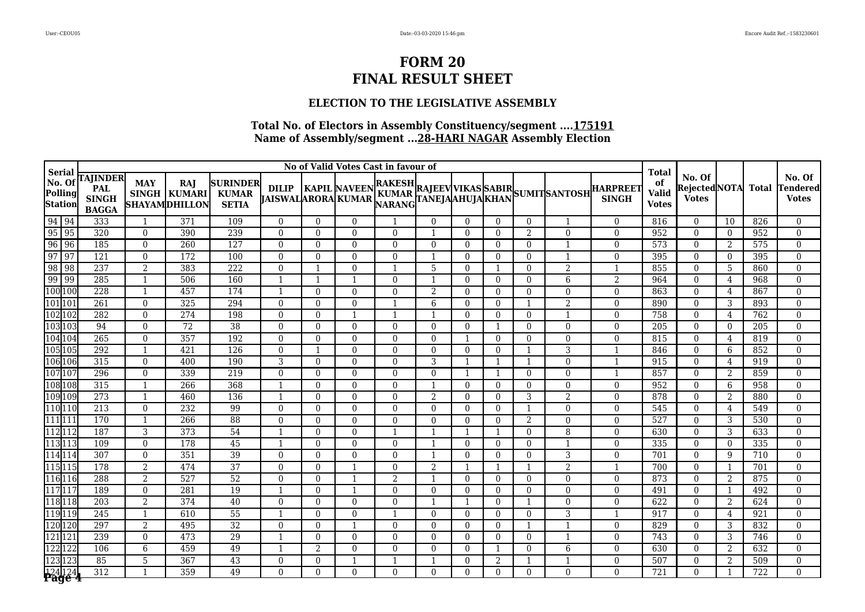## **ELECTION TO THE LEGISLATIVE ASSEMBLY**

|                                                                                                                                                                                                                                                                                                                                                                                                   | No of Valid Votes Cast in favour of<br>Serial |                                                        |                            |                                       |                                                 |                                           |                          |                |                      |              |                |                          |                |                                                                                              |                                 |                                                    |                                               |                |              |                                    |
|---------------------------------------------------------------------------------------------------------------------------------------------------------------------------------------------------------------------------------------------------------------------------------------------------------------------------------------------------------------------------------------------------|-----------------------------------------------|--------------------------------------------------------|----------------------------|---------------------------------------|-------------------------------------------------|-------------------------------------------|--------------------------|----------------|----------------------|--------------|----------------|--------------------------|----------------|----------------------------------------------------------------------------------------------|---------------------------------|----------------------------------------------------|-----------------------------------------------|----------------|--------------|------------------------------------|
| $\vert$ No. Of<br>Polling<br><b>Station</b>                                                                                                                                                                                                                                                                                                                                                       |                                               | <b>TAJINDER</b><br>PAL<br><b>SINGH</b><br><b>BAGGA</b> | <b>MAY</b><br><b>SINGH</b> | RAJ<br>KUMARI<br><b>SHAYAMDHILLON</b> | <b>SURINDER</b><br><b>KUMAR</b><br><b>SETIA</b> | <b>DILIP</b><br><b>JAISWALARORA KUMAR</b> |                          |                |                      |              |                |                          |                | KAPIL NAVEEN RAKESH RAJEEV VIKAS SABIR<br> ARORA KUMAR NARANG TANEJAAHUJA KHAN SUMIT SANTOSH | <b>HARPREET</b><br><b>SINGH</b> | <b>Total</b><br>of<br><b>Valid</b><br><b>Votes</b> | No. Of<br><b>RejectedNOTA</b><br><b>Votes</b> |                | <b>Total</b> | No. Of<br>Tendered<br><b>Votes</b> |
|                                                                                                                                                                                                                                                                                                                                                                                                   |                                               | 333                                                    | $\mathbf{1}$               | 371                                   | 109                                             | $\theta$                                  | $\overline{0}$           | $\theta$       |                      | $\Omega$     | $\theta$       | $\Omega$                 | $\mathbf{0}$   | 1                                                                                            | $\Omega$                        | 816                                                | $\overline{0}$                                | 10             | 826          | $\mathbf{0}$                       |
|                                                                                                                                                                                                                                                                                                                                                                                                   |                                               | 320                                                    | $\Omega$                   | 390                                   | 239                                             | $\theta$                                  | $\theta$                 | $\Omega$       | $\theta$             | -1           | $\Omega$       | $\Omega$                 | 2              | $\theta$                                                                                     | $\Omega$                        | 952                                                | $\Omega$                                      | $\Omega$       | 952          | $\Omega$                           |
|                                                                                                                                                                                                                                                                                                                                                                                                   |                                               | 185                                                    | $\Omega$                   | 260                                   | 127                                             | $\overline{0}$                            | $\Omega$                 | $\Omega$       | $\Omega$             | $\Omega$     | $\Omega$       | $\Omega$                 | $\theta$       | $\mathbf 1$                                                                                  | $\Omega$                        | 573                                                | $\mathbf{0}$                                  | 2              | 575          | $\mathbf{0}$                       |
|                                                                                                                                                                                                                                                                                                                                                                                                   |                                               | 121                                                    | $\overline{0}$             | 172                                   | 100                                             | $\overline{0}$                            | $\Omega$                 | $\Omega$       | $\overline{0}$       | $\mathbf{1}$ | $\overline{0}$ | $\Omega$                 | $\mathbf{0}$   | $\mathbf{1}$                                                                                 | $\mathbf{0}$                    | 395                                                | $\overline{0}$                                | $\overline{0}$ | 395          | $\mathbf{0}$                       |
|                                                                                                                                                                                                                                                                                                                                                                                                   |                                               | 237                                                    | 2                          | 383                                   | 222                                             | $\theta$                                  | 1                        | $\Omega$       |                      | 5            | $\Omega$       | -1                       | $\theta$       | $\overline{2}$                                                                               | $\mathbf{1}$                    | 855                                                | $\theta$                                      | 5              | 860          | $\Omega$                           |
| 94 94<br>95 95<br>96 96<br>97 97<br>98 98<br>99 99<br>100 100                                                                                                                                                                                                                                                                                                                                     |                                               | 285                                                    | $\overline{1}$             | 506                                   | 160                                             |                                           | $\mathbf{1}$             | $\mathbf 1$    | $\Omega$             | $\mathbf{1}$ | $\Omega$       | $\Omega$                 | $\theta$       | 6                                                                                            | $\overline{2}$                  | 964                                                | $\mathbf{0}$                                  | 4              | 968          | $\mathbf{0}$                       |
|                                                                                                                                                                                                                                                                                                                                                                                                   |                                               | 228                                                    | $\overline{1}$             | 457                                   | 174                                             |                                           | $\mathbf{0}$             | $\Omega$       | $\Omega$             | 2            | $\Omega$       | $\Omega$                 | $\theta$       | $\overline{0}$                                                                               | $\Omega$                        | 863                                                | $\overline{0}$                                | 4              | 867          | $\boldsymbol{0}$                   |
| 101 101                                                                                                                                                                                                                                                                                                                                                                                           |                                               | 261                                                    | $\Omega$                   | 325                                   | 294                                             | $\theta$                                  | $\Omega$                 | $\Omega$       |                      | 6            | $\Omega$       | $\Omega$                 |                | $\overline{2}$                                                                               | $\Omega$                        | 890                                                | $\theta$                                      | 3              | 893          | $\mathbf{0}$                       |
| 102 102                                                                                                                                                                                                                                                                                                                                                                                           |                                               | 282                                                    | $\overline{0}$             | 274                                   | 198                                             | $\mathbf{0}$                              | $\mathbf{0}$             |                | -1                   |              | $\Omega$       | $\Omega$                 | $\mathbf{0}$   |                                                                                              | $\Omega$                        | 758                                                | $\overline{0}$                                | 4              | 762          | $\boldsymbol{0}$                   |
| $\begin{array}{c} \vspace{2mm} \textbf{103} \textbf{103} \\ \textbf{104} \textbf{104} \\ \textbf{105} \textbf{105} \\ \textbf{106} \textbf{106} \\ \textbf{107} \textbf{107} \\ \textbf{108} \textbf{108} \\ \textbf{109} \textbf{109} \\ \textbf{110} \textbf{111} \\ \textbf{111} \textbf{112} \\ \textbf{112} \textbf{112} \\ \textbf{113} \textbf{113} \\ \textbf{114} \textbf{114} \\ \text$ |                                               | 94                                                     | $\Omega$                   | $\overline{72}$                       | $\overline{38}$                                 | $\theta$                                  | $\Omega$                 | $\Omega$       | $\Omega$             | $\theta$     | $\Omega$       | -1                       | $\theta$       | $\theta$                                                                                     | $\Omega$                        | 205                                                | $\Omega$                                      | $\Omega$       | 205          | $\Omega$                           |
|                                                                                                                                                                                                                                                                                                                                                                                                   |                                               | 265                                                    | $\Omega$                   | 357                                   | 192                                             | $\Omega$                                  | $\Omega$                 | $\Omega$       | $\Omega$             | $\theta$     | -1             | $\Omega$                 | $\theta$       | $\theta$                                                                                     | $\Omega$                        | 815                                                | $\Omega$                                      | 4              | 819          | $\mathbf{0}$                       |
|                                                                                                                                                                                                                                                                                                                                                                                                   |                                               | 292                                                    | -1                         | 421                                   | 126                                             | $\Omega$                                  | $\mathbf{1}$             | $\Omega$       | $\Omega$             | $\theta$     | $\Omega$       | $\Omega$                 |                | 3                                                                                            | 1                               | 846                                                | $\mathbf{0}$                                  | 6              | 852          | $\boldsymbol{0}$                   |
|                                                                                                                                                                                                                                                                                                                                                                                                   |                                               | 315                                                    | $\Omega$                   | 400                                   | 190                                             | 3                                         | $\Omega$                 | $\Omega$       | $\Omega$             | 3            | -1             | $\mathbf{1}$             | -1             | $\theta$                                                                                     | $\mathbf{1}$                    | 915                                                | $\Omega$                                      | 4              | 919          | $\mathbf{0}$                       |
|                                                                                                                                                                                                                                                                                                                                                                                                   |                                               | 296                                                    | $\overline{0}$             | 339                                   | 219                                             | $\overline{0}$                            | $\Omega$                 | $\Omega$       | $\theta$             | $\Omega$     | -1             | -1                       | $\mathbf{0}$   | $\overline{0}$                                                                               | 1                               | 857                                                | $\overline{0}$                                | 2              | 859          | $\boldsymbol{0}$                   |
|                                                                                                                                                                                                                                                                                                                                                                                                   |                                               | 315                                                    | $\mathbf{1}$               | 266                                   | 368                                             |                                           | $\Omega$                 | $\Omega$       | $\overline{0}$       | $\mathbf{1}$ | $\overline{0}$ | $\overline{0}$           | $\overline{0}$ | $\overline{0}$                                                                               | $\mathbf{0}$                    | 952                                                | $\overline{0}$                                | 6              | 958          | $\mathbf{0}$                       |
|                                                                                                                                                                                                                                                                                                                                                                                                   |                                               | 273                                                    | $\mathbf{1}$               | 460                                   | 136                                             | $\mathbf{1}$                              | $\Omega$                 | $\Omega$       | $\Omega$             | 2            | $\Omega$       | $\Omega$                 | 3              | $\overline{2}$                                                                               | $\Omega$                        | 878                                                | $\overline{0}$                                | 2              | 880          | $\Omega$                           |
|                                                                                                                                                                                                                                                                                                                                                                                                   |                                               | 213                                                    | $\Omega$                   | 232                                   | 99                                              | $\overline{0}$                            | $\Omega$                 | $\Omega$       | $\Omega$             | $\theta$     | $\Omega$       | $\Omega$                 |                | $\overline{0}$                                                                               | $\Omega$                        | 545                                                | $\overline{0}$                                | 4              | 549          | $\mathbf{0}$                       |
|                                                                                                                                                                                                                                                                                                                                                                                                   |                                               | 170                                                    | $\overline{1}$             | 266                                   | $\overline{88}$                                 | $\Omega$                                  | $\Omega$                 | $\Omega$       | $\Omega$             | $\Omega$     | $\Omega$       | $\Omega$                 | $\overline{2}$ | $\overline{0}$                                                                               | $\Omega$                        | 527                                                | $\theta$                                      | 3              | 530          | $\Omega$                           |
|                                                                                                                                                                                                                                                                                                                                                                                                   |                                               | 187                                                    | 3                          | 373                                   | 54                                              | $\overline{1}$                            | $\Omega$                 | $\Omega$       |                      |              | $\mathbf{1}$   | $\mathbf 1$              | $\Omega$       | 8                                                                                            | $\Omega$                        | 630                                                | $\mathbf{0}$                                  | 3              | 633          | $\mathbf{0}$                       |
|                                                                                                                                                                                                                                                                                                                                                                                                   |                                               | 109<br>307                                             | $\overline{0}$<br>$\Omega$ | 178<br>351                            | 45<br>$\overline{39}$                           |                                           | $\mathbf{0}$<br>$\Omega$ | $\overline{0}$ | $\overline{0}$       |              | $\overline{0}$ | $\Omega$                 | $\mathbf{0}$   |                                                                                              | $\mathbf{0}$                    | 335<br>701                                         | $\overline{0}$                                | $\overline{0}$ | 335<br>710   | $\mathbf{0}$<br>$\Omega$           |
|                                                                                                                                                                                                                                                                                                                                                                                                   |                                               | 178                                                    | $\overline{2}$             | 474                                   | $\overline{37}$                                 | $\theta$<br>$\overline{0}$                | $\mathbf{0}$             | $\Omega$       | $\Omega$<br>$\Omega$ | 2            | $\Omega$<br>-1 | $\Omega$<br>$\mathbf{1}$ | $\mathbf{0}$   | 3<br>$\overline{2}$                                                                          | $\mathbf{0}$                    | 700                                                | $\overline{0}$<br>$\overline{0}$              | 9<br>1         | 701          | $\mathbf{0}$                       |
|                                                                                                                                                                                                                                                                                                                                                                                                   |                                               | 288                                                    | $\overline{2}$             | 527                                   | $\overline{52}$                                 | $\overline{0}$                            | $\mathbf{0}$             | -1             | $\overline{2}$       | -1           | $\overline{0}$ | $\Omega$                 | $\mathbf{0}$   | $\overline{0}$                                                                               | $\mathbf{0}$                    | 873                                                | $\mathbf{0}$                                  | 2              | 875          | $\mathbf{0}$                       |
| 117 117                                                                                                                                                                                                                                                                                                                                                                                           |                                               | 189                                                    | $\Omega$                   | 281                                   | 19                                              |                                           | $\Omega$                 | -1             | $\Omega$             | $\Omega$     | $\Omega$       | $\Omega$                 | $\theta$       | $\overline{0}$                                                                               | $\Omega$                        | 491                                                | $\overline{0}$                                | $\mathbf{1}$   | 492          | $\mathbf{0}$                       |
| 118 118                                                                                                                                                                                                                                                                                                                                                                                           |                                               | $\overline{203}$                                       | $\overline{2}$             | 374                                   | $\overline{40}$                                 | $\theta$                                  | $\Omega$                 | $\Omega$       | $\Omega$             | $\mathbf{1}$ | 1              | $\Omega$                 | -1             | $\overline{0}$                                                                               | $\Omega$                        | 622                                                | $\overline{0}$                                | 2              | 624          | $\mathbf{0}$                       |
| 119 119                                                                                                                                                                                                                                                                                                                                                                                           |                                               | 245                                                    | $\mathbf{1}$               | 610                                   | 55                                              |                                           | $\Omega$                 | $\Omega$       |                      | $\Omega$     | $\Omega$       | $\Omega$                 | $\theta$       | 3                                                                                            | 1                               | 917                                                | $\theta$                                      | 4              | 921          | $\Omega$                           |
| 120                                                                                                                                                                                                                                                                                                                                                                                               | 120                                           | 297                                                    | $\overline{2}$             | 495                                   | $\overline{32}$                                 | $\theta$                                  | $\Omega$                 | $\mathbf 1$    | $\theta$             | $\theta$     | $\Omega$       | $\Omega$                 |                | $\mathbf{1}$                                                                                 | $\Omega$                        | 829                                                | $\overline{0}$                                | 3              | 832          | $\Omega$                           |
| 121 121                                                                                                                                                                                                                                                                                                                                                                                           |                                               | 239                                                    | $\Omega$                   | 473                                   | 29                                              | -1                                        | $\Omega$                 | $\Omega$       | $\Omega$             | $\Omega$     | $\Omega$       | $\Omega$                 | $\theta$       | $\mathbf{1}$                                                                                 | $\Omega$                        | 743                                                | $\overline{0}$                                | 3              | 746          | $\mathbf{0}$                       |
| 122 122                                                                                                                                                                                                                                                                                                                                                                                           |                                               | 106                                                    | 6                          | 459                                   | 49                                              |                                           | $\overline{2}$           | $\Omega$       | $\Omega$             | $\Omega$     | $\Omega$       |                          | $\Omega$       | 6                                                                                            | $\Omega$                        | 630                                                | $\Omega$                                      | 2              | 632          | $\mathbf{0}$                       |
| 123 123                                                                                                                                                                                                                                                                                                                                                                                           |                                               | 85                                                     | 5                          | 367                                   | $\overline{43}$                                 | $\Omega$                                  | $\mathbf{0}$             | $\mathbf 1$    |                      |              | $\Omega$       | $\overline{2}$           |                |                                                                                              | $\Omega$                        | 507                                                | $\overline{0}$                                | 2              | 509          | $\overline{0}$                     |
|                                                                                                                                                                                                                                                                                                                                                                                                   | 124 124                                       | $\overline{312}$                                       |                            | 359                                   | 49                                              | $\Omega$                                  | $\Omega$                 | $\Omega$       | $\Omega$             | $\Omega$     | $\Omega$       | $\Omega$                 | $\Omega$       | $\theta$                                                                                     | $\Omega$                        | 721                                                | $\Omega$                                      |                | 722          | $\Omega$                           |
|                                                                                                                                                                                                                                                                                                                                                                                                   |                                               |                                                        |                            |                                       |                                                 |                                           |                          |                |                      |              |                |                          |                |                                                                                              |                                 |                                                    |                                               |                |              |                                    |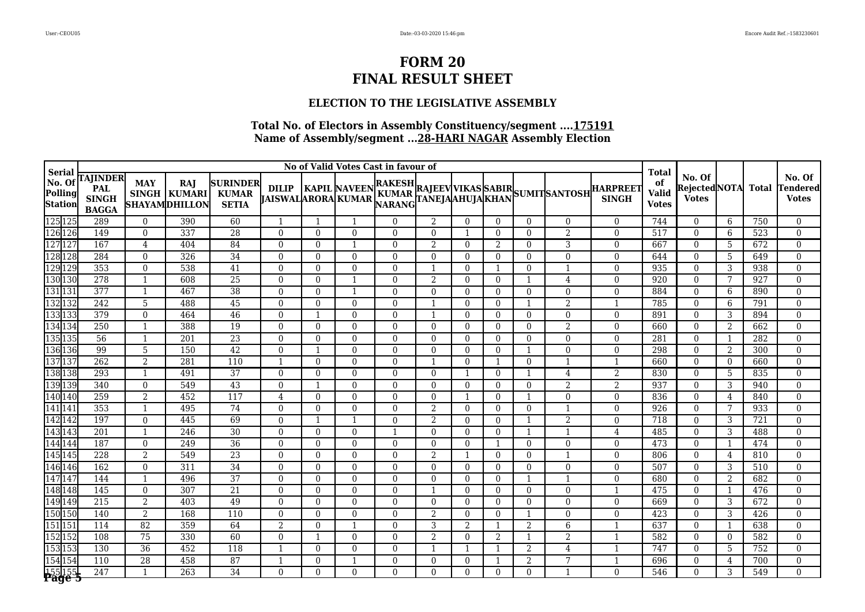## **ELECTION TO THE LEGISLATIVE ASSEMBLY**

| Serial                                                                               | No of Valid Votes Cast in favour of                           |                    |                                               |                                                 |                                           |                      |                         |                      |                |                |                |                |                     |                                                                                                    | <b>Total</b>                       |                                              |                |            |                                    |
|--------------------------------------------------------------------------------------|---------------------------------------------------------------|--------------------|-----------------------------------------------|-------------------------------------------------|-------------------------------------------|----------------------|-------------------------|----------------------|----------------|----------------|----------------|----------------|---------------------|----------------------------------------------------------------------------------------------------|------------------------------------|----------------------------------------------|----------------|------------|------------------------------------|
| $\vert$ No. Of<br>Polling<br><b>Station</b>                                          | <b>TAJINDER</b><br><b>PAL</b><br><b>SINGH</b><br><b>BAGGA</b> | <b>MAY</b>         | RAJ<br>SINGH   KUMARI<br><b>SHAYAMDHILLON</b> | <b>SURINDER</b><br><b>KUMAR</b><br><b>SETIA</b> | <b>DILIP</b><br><b>JAISWALARORA KUMAR</b> |                      |                         |                      |                |                |                |                |                     | KAPIL NAVEEN RAKESH RAJEEV VIKAS SABIR<br> ARORA KUMAR NARANG TANEJAAHUJA KHAN SUMIT SANTOSH SINGH | of<br><b>Valid</b><br><b>Votes</b> | No. Of<br>RejectedNOTA Total<br><b>Votes</b> |                |            | No. Of<br>Tendered<br><b>Votes</b> |
|                                                                                      | 289                                                           | $\Omega$           | 390                                           | 60                                              | -1                                        | -1                   | -1                      | $\Omega$             | 2              | $\theta$       | $\Omega$       | $\Omega$       | $\overline{0}$      | $\Omega$                                                                                           | 744                                | $\theta$                                     | 6              | 750        | $\theta$                           |
| 125 125<br>126 126<br>127 127                                                        | 149                                                           | $\Omega$           | 337                                           | $\overline{28}$                                 | $\overline{0}$                            | $\Omega$             | $\theta$                | $\Omega$             | $\Omega$       | $\overline{1}$ | $\Omega$       | $\Omega$       | 2                   | $\Omega$                                                                                           | 517                                | $\overline{0}$                               | 6              | 523        | $\overline{0}$                     |
|                                                                                      | 167                                                           | 4                  | 404                                           | 84                                              | $\overline{0}$                            | $\Omega$             | -1                      | $\Omega$             | 2              | $\Omega$       | 2              | $\Omega$       | 3                   | $\Omega$                                                                                           | 667                                | $\Omega$                                     | 5              | 672        | $\theta$                           |
| 128 128                                                                              | 284                                                           | $\Omega$           | 326                                           | 34                                              | $\mathbf{0}$                              | $\Omega$             | $\Omega$                | $\Omega$             | $\Omega$       | $\Omega$       | $\Omega$       | $\Omega$       | $\overline{0}$      | $\Omega$                                                                                           | 644                                | $\overline{0}$                               | 5              | 649        | $\theta$                           |
| 129 129                                                                              | 353                                                           | $\theta$           | 538                                           | $\overline{41}$                                 | $\overline{0}$                            | $\Omega$             | $\Omega$                | $\Omega$             | $\mathbf{1}$   | $\theta$       | $\mathbf 1$    | $\Omega$       | 1                   | $\Omega$                                                                                           | 935                                | $\overline{0}$                               | 3              | 938        | $\mathbf{0}$                       |
| 130 130                                                                              | 278                                                           | $\mathbf{1}$       | 608                                           | $\overline{25}$                                 | $\Omega$                                  | $\Omega$             | -1                      | $\Omega$             | 2              | $\Omega$       | $\Omega$       | $\mathbf{1}$   | 4                   | $\Omega$                                                                                           | 920                                | $\Omega$                                     | 7              | 927        | $\theta$                           |
| 131131                                                                               | 377                                                           | $\mathbf{1}$       | 467                                           | $\overline{38}$                                 | $\Omega$                                  | $\Omega$             | -1                      | $\Omega$             | $\Omega$       | $\Omega$       | $\Omega$       | $\theta$       | $\overline{0}$      | $\Omega$                                                                                           | 884                                | $\Omega$                                     | 6              | 890        | $\mathbf{0}$                       |
| 132 132                                                                              | 242                                                           | 5                  | 488                                           | 45                                              | $\theta$                                  | $\Omega$             | $\Omega$                | $\Omega$             | $\mathbf{1}$   | $\theta$       | $\Omega$       | $\mathbf{1}$   | $\overline{2}$      |                                                                                                    | 785                                | $\Omega$                                     | 6              | 791        | $\theta$                           |
| 133 133                                                                              | 379                                                           | $\theta$           | 464                                           | $\overline{46}$                                 | $\mathbf{0}$                              | $\mathbf{1}$         | $\Omega$                | $\Omega$             | -1             | $\theta$       | $\Omega$       | $\Omega$       | $\overline{0}$      | $\Omega$                                                                                           | 891                                | $\overline{0}$                               | 3              | 894        | $\mathbf{0}$                       |
| 134 134                                                                              | 250                                                           | -1<br>$\mathbf{1}$ | 388                                           | $\overline{19}$                                 | $\theta$                                  | $\Omega$             | $\Omega$                | $\Omega$             | $\Omega$       | $\Omega$       | $\Omega$       | $\Omega$       | $\overline{2}$      | $\Omega$                                                                                           | 660                                | $\Omega$                                     | 2              | 662        | $\theta$                           |
| 135 135                                                                              | 56                                                            |                    | 201                                           | $\overline{23}$                                 | $\Omega$                                  | $\Omega$             | $\Omega$                | $\Omega$             | $\Omega$       | $\theta$       | $\Omega$       | $\Omega$       | $\overline{0}$      | $\Omega$                                                                                           | 281                                | $\overline{0}$                               |                | 282        | $\boldsymbol{0}$                   |
|                                                                                      | 99<br>262                                                     | 5<br>2             | 150<br>281                                    | $\overline{42}$<br>110                          | $\mathbf{0}$<br>-1                        | $\mathbf{1}$         | $\Omega$                | $\Omega$             | $\Omega$<br>-1 | $\overline{0}$ | $\Omega$<br>-1 | -1             | $\overline{0}$<br>1 | $\Omega$                                                                                           | 298                                | $\overline{0}$<br>$\Omega$                   | 2              | 300        | $\overline{0}$<br>$\Omega$         |
| 136136<br>137137<br>138138                                                           | 293                                                           | $\mathbf{1}$       | 491                                           | $\overline{37}$                                 | $\mathbf{0}$                              | $\Omega$<br>$\Omega$ | $\Omega$<br>$\Omega$    | $\Omega$<br>$\Omega$ | $\Omega$       | $\Omega$<br>-1 | $\Omega$       | $\theta$<br>1  | $\overline{4}$      | $\overline{2}$                                                                                     | 660<br>830                         | $\overline{0}$                               | $\Omega$<br>5  | 660<br>835 | $\boldsymbol{0}$                   |
|                                                                                      | 340                                                           | $\Omega$           | 549                                           | 43                                              | $\mathbf{0}$                              | $\mathbf{1}$         | $\Omega$                | $\Omega$             | $\Omega$       | $\Omega$       | $\Omega$       | $\mathbf{0}$   | $\overline{2}$      | $\overline{2}$                                                                                     | 937                                | $\overline{0}$                               | 3              | 940        | $\mathbf{0}$                       |
| 139 139<br>140 140                                                                   | 259                                                           | $\overline{2}$     | 452                                           | 117                                             | 4                                         | $\Omega$             | $\Omega$                | $\Omega$             | $\Omega$       | $\overline{1}$ | $\Omega$       | 1              | $\Omega$            | $\Omega$                                                                                           | 836                                | $\overline{0}$                               | 4              | 840        | $\theta$                           |
|                                                                                      | 353                                                           | $\mathbf{1}$       | 495                                           | 74                                              | $\mathbf{0}$                              | $\Omega$             | $\Omega$                | $\overline{0}$       | 2              | $\overline{0}$ | $\Omega$       | $\mathbf{0}$   | $\mathbf{1}$        | $\Omega$                                                                                           | 926                                | $\overline{0}$                               | 7              | 933        | $\boldsymbol{0}$                   |
| 140 140<br>141 141<br>142 142<br>143 143<br>144 144<br>145 145<br>146 146<br>147 147 | 197                                                           | $\mathbf{0}$       | 445                                           | 69                                              | $\overline{0}$                            | $\mathbf{1}$         | -1                      | $\Omega$             | 2              | $\mathbf{0}$   | $\Omega$       | $\mathbf{1}$   | $\overline{2}$      | $\overline{0}$                                                                                     | 718                                | $\overline{0}$                               | 3              | 721        | $\overline{0}$                     |
|                                                                                      | 201                                                           | $\mathbf{1}$       | 246                                           | $\overline{30}$                                 | $\theta$                                  | $\Omega$             | $\Omega$                | $\mathbf{1}$         | $\Omega$       | $\Omega$       | $\Omega$       | 1              | 1                   | 4                                                                                                  | 485                                | $\Omega$                                     | 3              | 488        | $\theta$                           |
|                                                                                      | 187                                                           | $\theta$           | 249                                           | 36                                              | $\mathbf{0}$                              | $\theta$             | $\Omega$                | $\Omega$             | $\Omega$       | $\theta$       |                | $\Omega$       | $\boldsymbol{0}$    | $\Omega$                                                                                           | 473                                | $\overline{0}$                               |                | 474        | $\mathbf{0}$                       |
|                                                                                      | 228                                                           | $\overline{2}$     | 549                                           | $\overline{23}$                                 | $\mathbf{0}$                              | $\Omega$             | $\Omega$                | $\Omega$             | 2              | $\mathbf 1$    | $\Omega$       | $\Omega$       | $\mathbf{1}$        | $\Omega$                                                                                           | 806                                | $\overline{0}$                               | 4              | 810        | $\mathbf{0}$                       |
|                                                                                      | 162                                                           | $\Omega$           | 311                                           | $\overline{34}$                                 | $\mathbf{0}$                              | $\Omega$             | $\Omega$                | $\Omega$             | $\Omega$       | $\Omega$       | $\Omega$       | $\mathbf{0}$   | $\overline{0}$      | $\overline{0}$                                                                                     | 507                                | $\overline{0}$                               | 3              | 510        | $\mathbf{0}$                       |
|                                                                                      | 144                                                           | $\mathbf{1}$       | 496                                           | 37                                              | $\theta$                                  | $\Omega$             | $\Omega$                | $\Omega$             | $\Omega$       | $\theta$       | $\Omega$       | $\mathbf 1$    | $\mathbf{1}$        | $\overline{0}$                                                                                     | 680                                | $\overline{0}$                               | 2              | 682        | $\mathbf{0}$                       |
|                                                                                      | 145                                                           | $\Omega$           | 307                                           | 21                                              | $\mathbf{0}$                              | $\boldsymbol{0}$     | $\Omega$                | $\Omega$             | $\mathbf{1}$   | $\theta$       | $\Omega$       | $\mathbf{0}$   | $\overline{0}$      |                                                                                                    | 475                                | $\overline{0}$                               | 1              | 476        | $\overline{0}$                     |
|                                                                                      | $\overline{215}$                                              | 2                  | 403                                           | 49                                              | $\mathbf{0}$                              | $\overline{0}$       | $\overline{0}$          | $\Omega$             | $\Omega$       | $\overline{0}$ | $\Omega$       | $\mathbf{0}$   | $\overline{0}$      | $\overline{0}$                                                                                     | 669                                | $\overline{0}$                               | 3              | 672        | $\overline{0}$                     |
| 148148<br>149149<br>150150                                                           | 140                                                           | $\overline{2}$     | 168                                           | 110                                             | $\mathbf{0}$                              | $\Omega$             | $\Omega$                | $\Omega$             | 2              | $\Omega$       | $\Omega$       | $\mathbf{1}$   | $\overline{0}$      | $\Omega$                                                                                           | 423                                | $\overline{0}$                               | 3              | 426        | $\theta$                           |
| 151 151                                                                              | 114                                                           | $\overline{82}$    | 359                                           | 64                                              | $\overline{2}$                            | $\theta$             | $\overline{\mathbf{1}}$ | $\Omega$             | 3              | $\overline{2}$ | -1             | $\overline{2}$ | 6                   | -1                                                                                                 | 637                                | $\overline{0}$                               | 1              | 638        | $\mathbf{0}$                       |
| 152 152                                                                              | 108                                                           | 75                 | 330                                           | 60                                              | $\overline{0}$                            | 1                    | $\Omega$                | $\Omega$             | 2              | $\theta$       | 2              | $\mathbf{1}$   | $\overline{2}$      | -1                                                                                                 | 582                                | $\overline{0}$                               | $\overline{0}$ | 582        | $\mathbf{0}$                       |
| 153 153                                                                              | 130                                                           | 36                 | 452                                           | 118                                             | $\mathbf{1}$                              | $\Omega$             | $\Omega$                | $\Omega$             | -1             | -1             | -1             | 2              | $\overline{4}$      |                                                                                                    | 747                                | $\overline{0}$                               | 5              | 752        | $\theta$                           |
| 154 154                                                                              | 110                                                           | 28                 | 458                                           | 87                                              | $\overline{1}$                            | $\Omega$             | $\mathbf{1}$            | $\Omega$             | $\Omega$       | $\theta$       | 1              | 2              | 7                   |                                                                                                    | 696                                | $\overline{0}$                               | 4              | 700        | $\mathbf{0}$                       |
| 1551551<br><b>Page 5</b>                                                             | 247                                                           |                    | 263                                           | $\overline{34}$                                 | $\Omega$                                  | $\Omega$             | $\Omega$                | $\Omega$             | $\Omega$       | $\theta$       | $\Omega$       | $\Omega$       | 1                   | $\Omega$                                                                                           | 546                                | $\Omega$                                     | 3              | 549        | $\theta$                           |